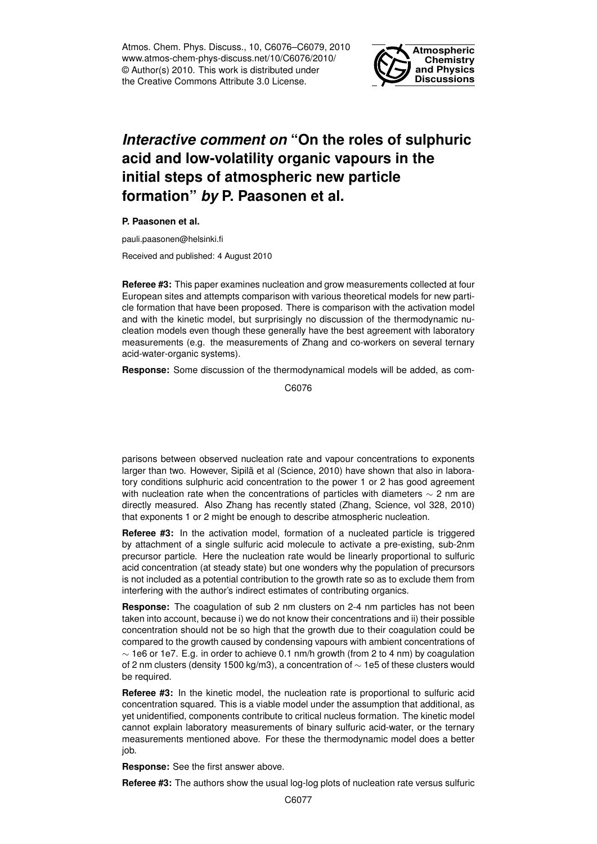Atmos. Chem. Phys. Discuss., 10, C6076–C6079, 2010 www.atmos-chem-phys-discuss.net/10/C6076/2010/ © Author(s) 2010. This work is distributed under the Creative Commons Attribute 3.0 License.



## *Interactive comment on* **"On the roles of sulphuric acid and low-volatility organic vapours in the initial steps of atmospheric new particle formation"** *by* **P. Paasonen et al.**

**P. Paasonen et al.**

pauli.paasonen@helsinki.fi

Received and published: 4 August 2010

**Referee #3:** This paper examines nucleation and grow measurements collected at four European sites and attempts comparison with various theoretical models for new particle formation that have been proposed. There is comparison with the activation model and with the kinetic model, but surprisingly no discussion of the thermodynamic nucleation models even though these generally have the best agreement with laboratory measurements (e.g. the measurements of Zhang and co-workers on several ternary acid-water-organic systems).

**Response:** Some discussion of the thermodynamical models will be added, as com-

C6076

parisons between observed nucleation rate and vapour concentrations to exponents larger than two. However, Sipilä et al (Science, 2010) have shown that also in laboratory conditions sulphuric acid concentration to the power 1 or 2 has good agreement with nucleation rate when the concentrations of particles with diameters  $\sim$  2 nm are directly measured. Also Zhang has recently stated (Zhang, Science, vol 328, 2010) that exponents 1 or 2 might be enough to describe atmospheric nucleation.

**Referee #3:** In the activation model, formation of a nucleated particle is triggered by attachment of a single sulfuric acid molecule to activate a pre-existing, sub-2nm precursor particle. Here the nucleation rate would be linearly proportional to sulfuric acid concentration (at steady state) but one wonders why the population of precursors is not included as a potential contribution to the growth rate so as to exclude them from interfering with the author's indirect estimates of contributing organics.

**Response:** The coagulation of sub 2 nm clusters on 2-4 nm particles has not been taken into account, because i) we do not know their concentrations and ii) their possible concentration should not be so high that the growth due to their coagulation could be compared to the growth caused by condensing vapours with ambient concentrations of  $\sim$  1e6 or 1e7. E.g. in order to achieve 0.1 nm/h growth (from 2 to 4 nm) by coagulation of 2 nm clusters (density 1500 kg/m3), a concentration of ∼ 1e5 of these clusters would be required.

**Referee #3:** In the kinetic model, the nucleation rate is proportional to sulfuric acid concentration squared. This is a viable model under the assumption that additional, as yet unidentified, components contribute to critical nucleus formation. The kinetic model cannot explain laboratory measurements of binary sulfuric acid-water, or the ternary measurements mentioned above. For these the thermodynamic model does a better job.

**Response:** See the first answer above.

**Referee #3:** The authors show the usual log-log plots of nucleation rate versus sulfuric